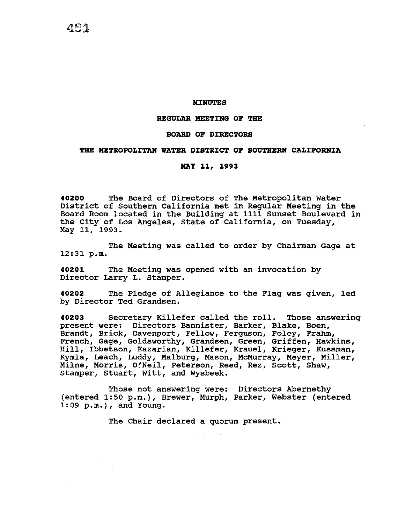### **MINUTES**

## **REGULAR MEETING OF THE**

#### **BOARD OF DIRECTORS**

## **THE METROPOLITAN WATER DISTRICT OF SOUTHERN CALIFORNIA**

### **MAY 11, 1993**

**40200** The Board of Directors of The Metropolitan Water District of Southern California met in Regular Meeting in the Board Room located in the Building at 1111 Sunset Boulevard in the City of Los Angeles, State of California, on Tuesday, May 11, 1993.

The Meeting was called to order by Chairman Gage at 12:31 p.m.

**40201** The Meeting was opened with an invocation by Director Larry L. Stamper.

**40202** The Pledge of Allegiance to the Flag was given, led by Director Ted Grandsen.

**40203** Secretary Killefer called the roll. Those answering present were: Directors Bannister, Barker, Blake, Boen, Brandt, Brick, Davenport, Fellow, Ferguson, Foley, Frahm, French, Gage, Goldsworthy, Grandsen, Green, Griffen, Hawkins, Hill, Ibbetson, Kazarian, Killefer, Krauel, Krieger, Kussman, Kymla, Leach, Luddy, Malburg, Mason, McMurray, Meyer, Miller, Milne, Morris, O'Neil, Peterson, Reed, Rez, Scott, Shaw, Stamper, Stuart, Witt, and Wysbeek.

Those not answering were: Directors Abernethy (entered 1:50 p.m.), Brewer, Murph, Parker, Webster (entered 1:09 p.m.), and Young.

The Chair declared a quorum present.

481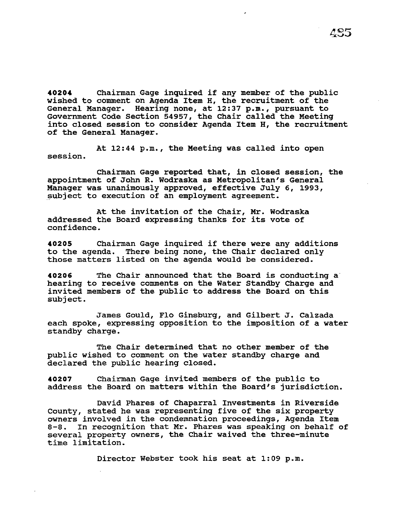**<sup>40204</sup>**Chairman Gage inquired if any member of the public wished to comment on Agenda Item H, the recruitment of the General Manager. Hearing none, at 12:37 p.m., pursuant to Government Code Section 54957, the Chair called the Meeting into closed session to consider Agenda Item H, the recruitment of the General Manager.

At 12:44 p.m., the Meeting was called into open session.

Chairman Gage reported that, in closed session, the appointment of John R. Wodraska as Metropolitan's General Manager was unanimously approved, effective July 6, 1993, subject to execution of an employment agreement.

At the invitation of the Chair, Mr. Wodraska addressed the Board expressing thanks for its vote of confidence.

**<sup>40205</sup>**Chairman Gage inquired if there were any additions to the agenda. There being none, the Chair declared only those matters listed on the agenda would be considered.

**40206** The Chair announced that the Board is conducting a hearing to receive comments on the Water Standby Charge and invited members of the public to address the Board on this subject.

James Gould, Flo Ginsburg, and Gilbert J. Calzada each spoke, expressing opposition to the imposition of a water standby charge.

The Chair determined that no other member of the public wished to comment on the water standby charge and declared the public hearing closed.

**40207** Chairman Gage invited members of the public to address the Board on matters within the Board's jurisdiction.

David Phares of Chaparral Investments in Riverside County, stated he was representing five of the six property owners involved in the condemnation proceedings, Agenda Item<br>8-8. In recognition that Mr. Phares was speaking on behalf o In recognition that Mr. Phares was speaking on behalf of several property owners, the Chair waived the three-minute time limitation.

Director Webster took his seat at 1:09 p.m.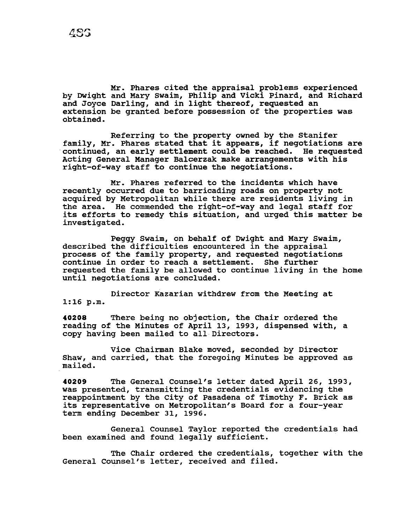Mr. Phares cited the appraisal problems experienced by Dwight and Mary Swaim, Philip and Vicki Pinard, and Richard and Joyce Darling, and in light thereof, requested an extension be granted before possession of the properties was obtained.

Referring to the property owned by the Stanifer family, Mr. Phares stated that it appears, if negotiations are continued, an early settlement could be reached. He requested Acting General Manager Balcerzak make arrangements with his right-of-way staff to continue the negotiations.

Mr. Phares referred to the incidents which have recently occurred due to barricading roads on property not acquired by Metropolitan while there are residents living in<br>the area. He commended the right-of-way and legal staff for He commended the right-of-way and legal staff for its efforts to remedy this situation, and urged this matter be investigated.

Peggy Swaim, on behalf of Dwight and Mary Swaim, described the difficulties encountered in the appraisal process of the family property, and requested negotiations continue in order to reach a settlement. She further requested the family be allowed to continue living in the home until negotiations are concluded.

Director Kazarian withdrew from the Meeting at 1:16 p.m.

**40208** There being no objection, the Chair ordered the reading of the Minutes of April 13, 1993, dispensed with, a copy having been mailed to all Directors.

Vice Chairman Blake moved, seconded by Director Shaw, and carried, that the foregoing Minutes be approved as mailed.

**40209** The General Counsel's letter dated April 26, 1993, was presented, transmitting the credentials evidencing the reappointment by the City of Pasadena of Timothy F. Brick as its representative on Metropolitan's Board for a four-year term ending December 31, 1996.

General Counsel Taylor reported the credentials had been examined and found legally sufficient.

The Chair ordered the credentials, together with the General Counsel's letter, received and filed.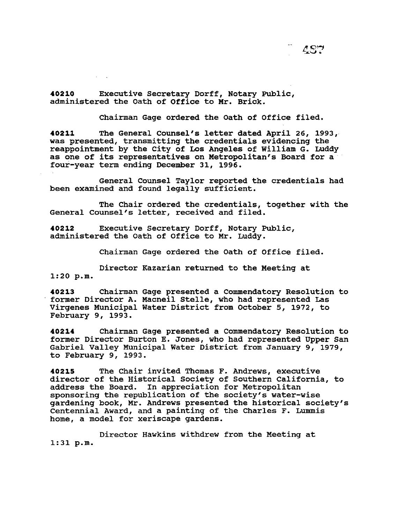**40210** Executive secretary Dorff, Notary Public, administered the oath of Office to Mr. Brick.

Chairman Gage ordered the Oath of Office filed.

**40211** The General Counsel's letter dated April 26, 1993, was presented, transmitting the credentials evidencing the reappointment by the City of Los Angeles of William G. Luddy as one of its representatives on Metropolitan's Board for a four-year term ending December 31, 1996.

General Counsel Taylor reported the credentials had been examined and found legally sufficient.

The Chair ordered the credentials, together with the General Counsel's letter, received and filed.

**40212** Executive Secretary Dorff, Notary Public, administered the Oath of Office to Mr. Luddy.

Chairman Gage ordered the Oath of Office filed.

Director Kazarian returned to the Meeting at 1:20 p.m.

**40213** Chairman Gage presented a Commendatory Resolution to former Director A. Macneil Stelle, who had represented Las Virgenes Municipal Water District from October 5, 1972, to February 9, 1993.

**40214** Chairman Gage presented a Commendatory Resolution to former Director Burton E. Jones, who had represented Upper San Gabriel Valley Municipal Water District from January 9, 1979, to February 9, 1993.

**40215** The Chair invited Thomas F. Andrews, executive director of the Historical Society of Southern California, to address the Board. In appreciation for Metropolitan sponsoring the republication of the society's water-wise gardening book, Mr. Andrews presented the historical society's Centennial Award, and a painting of the Charles F. Lummis home, a model for xeriscape gardens.

Director Hawkins withdrew from the Meeting at 1:31 p.m.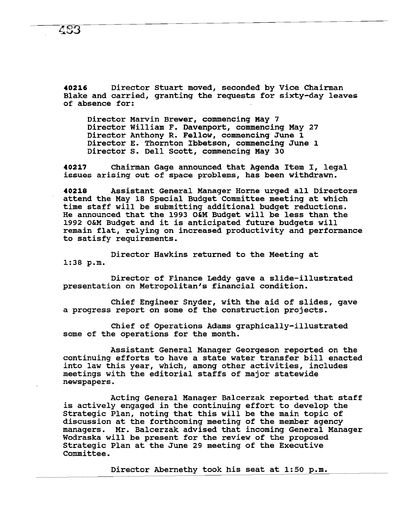**40216** Director Stuart moved, seconded by Vice Chairman Blake and carried, granting the requests for sixty-day leaves of absence for:

Director Marvin Brewer, commencing May 7 Director William F. Davenport, commencing May 27 Director Anthony R. Fellow, commencing June 1 Director E. Thornton Ibbetson, commencing June 1 Director s. Dell Scott, commencing May 30

**<sup>40217</sup>**Chairman Gage announced that Agenda Item I, legal issues arising out of space problems, has been withdrawn.

**<sup>40218</sup>**Assistant General Manager Horne urged all Directors attend the May 18 Special Budget Committee meeting at which time staff will be submitting additional budget reductions. He announced that the 1993 O&M Budget will be less than the 1992 O&M Budget and it is anticipated future budgets will remain flat, relying on increased productivity and performance to satisfy requirements.

Director Hawkins returned to the Meeting at 1:38 p.m.

Director of Finance Leddy gave a slide-illustrated presentation on Metropolitan's financial condition.

Chief Engineer Snyder, with the aid of slides, gave a progress report on some of the construction projects.

Chief of Operations Adams graphically-illustrated some of the operations for the month.

Assistant General Manager Georgeson reported on the continuing efforts to have a state water transfer bill enacted into law this year, which, among other activities, includes meetings with the editorial staffs of major statewide newspapers.

Acting General Manager Balcerzak reported that staff is actively engaged in the continuing effort to develop the Strategic Plan, noting that this will be the main topic of discussion at the forthcoming meeting of the member agency managers. Mr. Balcerzak advised that incoming General Manager Wodraska will be present for the review of the proposed Strategic Plan at the June 29 meeting of the Executive Committee.

Director Abernethy took his seat at  $1:50$  p.m.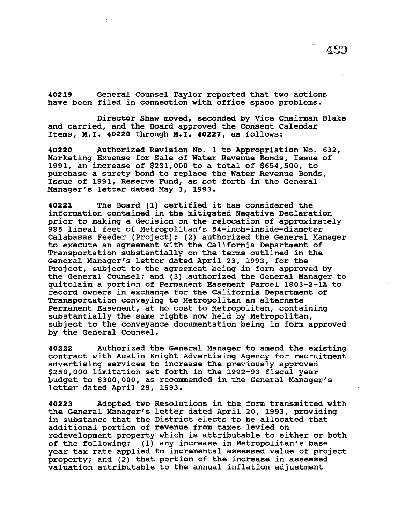**40219** General Counsel Taylor reported that two actions have been filed in connection with office space problems.

Director Shaw moved, seconded by Vice Chairman Blake and carried, and the Board approved the Consent Calendar Items, M.I. **40220** through M.I. **40227,** as follows:

**40220** Authorized Revision No. 1 to Appropriation No. 632, Marketing Expense for Sale of Water Revenue Bonds, Issue of 1991, an increase of \$231,000 to a total of \$654,500, to purchase a surety bond to replace the Water Revenue Bonds, Issue of 1991, Reserve Fund, as set forth in the General Manager's letter dated May 3, 1993.

**<sup>40221</sup>**The Board (1) certified it has considered the information contained in the mitigated Negative Declaration prior to making a decision on the relocation of approximately 985 lineal feet of Metropolitan's 54-inch-inside-diameter Calabasas Feeder (Project); (2) authorized the General Manager to execute an agreement with the California Department of Transportation substantially on the terms outlined in the General Manager's letter dated April 23, 1993, for the Project, subject to the agreement being in form approved by the General Counsel; and (3) \_authorized the General Manager to quitclaim a portion of Permanent Easement Parcel 1803-2-1A to record owners in exchange for the California Department of Transportation conveying to Metropolitan an alternate Permanent Easement, at no cost to Metropolitan, containing substantially the same rights now held by Metropolitan, subject to the conveyance documentation being in form approved by the General Counsel.

**40222** Authorized the General Manager to amend the existing contract with Austin Knight Advertising Agency for recruitment advertising services to increase the previously approved \$250,000 limitation set forth in the 1992-93 fiscal year budget to \$300,000, as recommended in the General Manager's letter dated April 29, 1993.

**40223** Adopted two Resolutions in the form transmitted with the General Manager's letter dated April 20, 1993, providing in substance that the District elects to be allocated that additional portion of revenue from taxes levied on redevelopment property which is attributable to either or both of the following: (1) any increase in Metropolitan's base year tax rate applied to incremental assessed value of project property; and (2) that portion of the increase in assessed valuation attributable to the annual inflation adjustment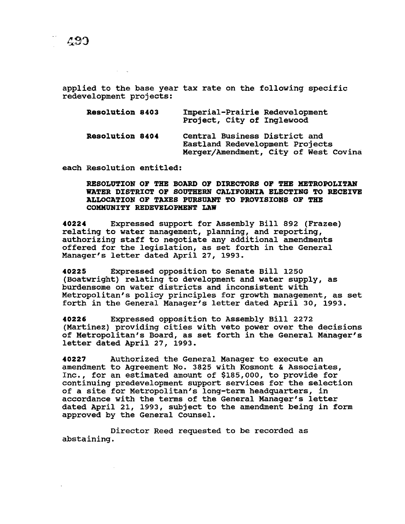applied to the base year tax rate on the following specific redevelopment projects:

| <b>Resolution 8403</b> | Imperial-Prairie Redevelopment<br>Project, City of Inglewood                                              |
|------------------------|-----------------------------------------------------------------------------------------------------------|
| <b>Resolution 8404</b> | Central Business District and<br>Eastland Redevelopment Projects<br>Merger/Amendment, City of West Covina |

each Resolution entitled:

## RESOLUTION OF THE BOARD OF DIRECTORS OF THE METROPOLITAN WATER DISTRICT OF SOUTHERN CALIFORNIA ELECTING TO RECEIVE ALLOCATZON OF TAXES PURSUANT TO PROVISZONS OF THE COMMUNZTY REDEVELOPMENT LAW

40224 Expressed support for Assembly Bill 892 (Frazee) relating to water management, planning, and reporting, authorizing staff to negotiate any additional amendments offered for the legislation, as set forth in the General Manager's letter dated April 27, 1993.

40225 Expressed opposition to Senate Bill 1250 (Boatwright) relating to development and water supply, as burdensome on water districts and inconsistent with Metropolitan's policy principles for growth management, as set forth in the General Manager's letter dated April 30, 1993.

40226 Expressed opposition to Assembly Bill 2272 (Martinez) providing cities with veto power over the decisions of Metropolitan's Board, as set forth in the General Manager's letter dated April 27, 1993.

40227 Authorized the General Manager to execute an amendment to Agreement No. 3825 with Kosmont & Associates, Inc., for an estimated amount of \$185,000, to provide for continuing predevelopment support services for the selection of a site for Metropolitan's long-term headquarters, in accordance with the terms of the General Manager's letter dated April 21, 1993, subject to the amendment being in form approved by the General Counsel.

Director Reed requested to be recorded as abstaining.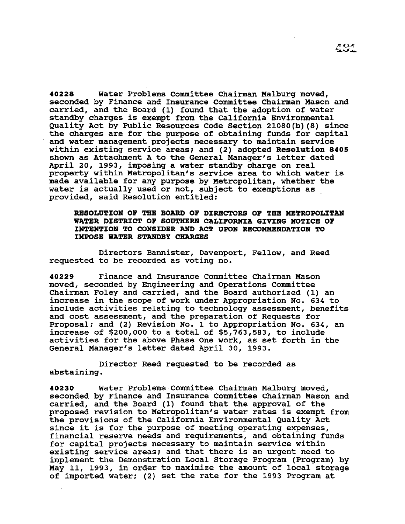40228 Water Problems Committee Chairman Malburg moved, seconded by Finance and Insurance Committee Chairman Mason and carried, and the Board (1) found that the adoption of water standby charges is exempt from the California Environmental Quality Act by Public Resources Code Section 21080(b)(8) since the charges are for the purpose of obtaining funds for capital and water management projects necessary to maintain service within existing service areas; and (2) adopted Resolution 8405 shown as Attachment A to the General Manager's letter dated April 20, 1993, imposing a water standby charge on real property within Metropolitan's service area to which water is made available for any purpose by Metropolitan, whether the water is actually used or not, subject to exemptions as provided, said Resolution entitled:

RESOLUTION OF THE BOARD OF DIRECTORS OF THE METROPOLITAN WATER DISTRICT OF SOUTHERN CALIFORNIA GIVING NOTICE OF INTENTION TO CONSIDER AND ACT UPON RECOMMENDATION TO :IMPOSE WATER STANDBY CHARGES

Directors Bannister, Davenport, Fellow, and Reed requested to be recorded as voting no.

40229 Finance and Insurance Committee Chairman Mason moved, seconded by Engineering and Operations Committee Chairman Foley and carried, and the Board authorized (1) an increase in the scope of work under Appropriation No. 634 to include activities relating to technology assessment, benefits and cost assessment, and the preparation of Requests for Proposal; and (2) Revision No. 1 to Appropriation No. 634, an increase of \$200,000 to a total of \$5,763,583, to include activities for the above Phase One work, as set forth in the General Manager's letter dated April 30, 1993.

Director Reed requested to be recorded as abstaining.

40230 Water Problems Committee Chairman Malburg moved, seconded by Finance and Insurance Committee Chairman Mason and carried, and the Board (1) found that the approval of the proposed revision to Metropolitan's water rates is exempt from the provisions of the California Environmental Quality Act since it is for the purpose of meeting operating expenses, financial reserve needs and requirements, and obtaining funds for capital projects necessary to maintain service within existing service areas; and that there is an urgent need to implement the Demonstration Local Storage Program (Program) by May 11, 1993, in order to maximize the amount of local storage of imported water; (2) set the rate for the 1993 Program at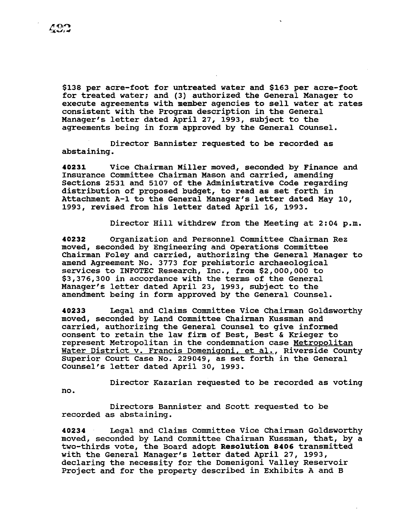\$138 per acre-foot for untreated water and \$163 per acre-foot for treated water; and (3) authorized the General Manager to execute agreements with member agencies to sell water at rates consistent with the Program description in the General Manager's letter dated April 27, 1993, subject to the agreements being in form approved by the General counsel.

Director Bannister requested to be recorded as abstaining.

40231 Vice Chairman Miller moved, seconded by Finance and Insurance Committee Chairman Mason and carried, amending Sections 2531 and 5107 of the Administrative Code regarding distribution of proposed budget, to read as set forth in Attachment A-1 to the General Manager's letter dated May 10, 1993, revised from his letter dated April 16, 1993.

Director Hill withdrew from the Meeting at 2:04 p.m.

40232 Organization and Personnel Committee Chairman Rez moved, seconded by Engineering and Operations Committee Chairman Foley and carried, authorizing the General Manager to amend Agreement No. 3773 for prehistoric archaeological services to INFOTEC Research, Inc., from \$2,000,000 to \$3,376,300 in accordance with the terms of the General Manager's letter dated April 23, 1993, subject to the amendment being in form approved by the General counsel.

40233 Legal and Claims Committee Vice Chairman Goldsworthy moved, seconded by Land Committee Chairman Kussman and carried, authorizing the General Counsel to give informed consent to retain the law firm of Best, Best & Krieger to represent Metropolitan in the condemnation case Metropolitan Water District v. Francis Domenigoni, et al., Riverside County Superior Court Case No. 229049, as set forth in the General counsel's letter dated April 30, 1993.

Director Kazarian requested to be recorded as voting no.

Directors Bannister and scott requested to be recorded as abstaining.

40234 Legal and Claims committee Vice Chairman Goldsworthy moved, seconded by Land Committee Chairman Kussman, that, by a two-thirds vote, the Board adopt Resolution 8406 transmitted with the General Manager's letter dated April 27, 1993, declaring the necessity for the Domenigoni Valley Reservoir Project and for the property described in Exhibits A and B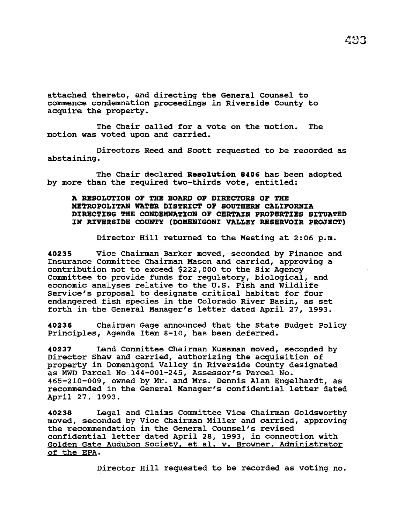attached thereto, and directing the General Counsel to commence condemnation proceedings in Riverside County to acquire the property.

The Chair called for a vote on the motion. The motion was voted upon and carried.

Directors Reed and Scott requested to be recorded as abstaining.

The Chair declared Resolution 8406 has been adopted by more than the required two-thirds vote, entitled:

# A RESOLUTION OF THE BOARD OF DIRECTORS OF THE METROPOLITAN WATER DISTRICT OF SOUTHERN CALIFORNIA DIRECTING THE CONDEMNATION OF CERTAIN PROPERTIES SITUATED IN RIVERSIDE COUNTY (DOMENIGONI VALLEY RESERVOIR PROJECT)

Director Hill returned to the Meeting at 2:06 p.m.

40235 Vice Chairman Barker moved, seconded by Finance and Insurance Committee Chairman Mason and carried, approving a contribution not to exceed \$222,000 to the Six Agency Committee to provide funds for regulatory, biological, and economic analyses relative to the U.S. Fish and Wildlife Service's proposal to designate critical habitat for four endangered fish species in the Colorado River Basin, as set forth in the General Manager's letter dated April 27, 1993.

40236 Chairman Gage announced that the state Budget Policy Principles, Agenda Item s-10, has been deferred.

40237 Land Committee Chairman Kussman moved, seconded by Director Shaw and carried, authorizing the acquisition of property in Domenigoni Valley in Riverside County designated as MWD Parcel No 144-001-245, Assessor's Parcel No. 465-210-009, owned by Mr. and Mrs. Dennis Alan Engelhardt, as recommended in the General Manager's confidential letter dated April 27, 1993.

40238 Legal and Claims Committee Vice Chairman Goldsworthy moved, seconded by Vice Chairman Miller and carried, approving the recommendation *in* the General Counsel's revised confidential letter dated April 28, 1993, in connection with Golden Gate Audubon Society. et al. v. Browner. Administrator of the EPA.

Director Hill requested to be recorded as voting no.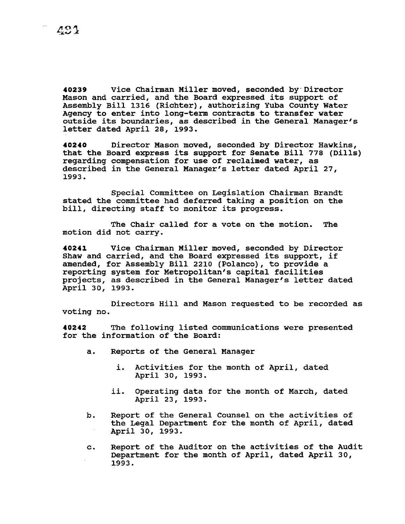**40239** Vice Chairman Miller moved, seconded by· Director Mason and carried, and the Board expressed its support of Assembly Bill 1316 (Richter), authorizing Yuba County water Agency to enter into long-term contracts to transfer water outside its boundaries, as described in the General Manager's letter dated April 28, 1993.

**40240** Director Mason moved, seconded by Director Hawkins, that the Board express its support for Senate Bill 778 (Dills) regarding compensation for use of reclaimed water, as described in the General Manager's letter dated April 27, 1993.

Special committee on Legislation Chairman Brandt stated the committee had deferred taking a position on the bill, directing staff to monitor its progress.

The Chair called for a vote on the motion. The motion did not carry.

**40241** Vice Chairman Miller moved, seconded by Director Shaw and carried, and the Board expressed its support, if amended, for Assembly Bill 2210 (Polanco), to provide a reporting system for Metropolitan's capital facilities projects, as described in the General Manager's letter dated April 30, 1993.

Directors Hill and Mason requested to be recorded as voting no.

**40242** The following listed communications were presented for the information of the Board:

- a. Reports of the General Manager
	- i. Activities for the month of April, dated April 30, 1993.
	- ii. Operating data for the month of March, dated April 23, 1993.
- b. Report of the General Counsel on the activities of the Legal Department for the month of April, dated April 30, 1993.
- c. Report of the Auditor on the activities of the Audit Department for the month of April, dated April 30, 1993.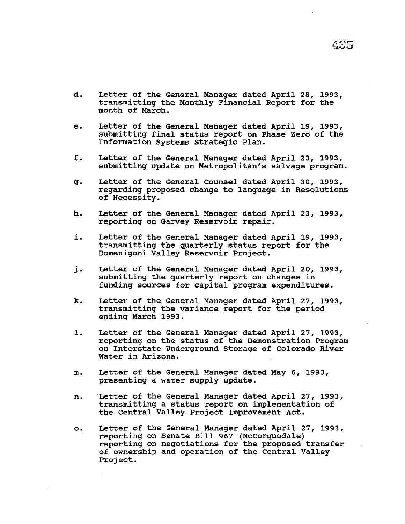- d. Letter of the General Manager dated April 28, 1993, transmitting the Monthly Financial Report for the month of March.
- e. Letter of the General Manager dated April 19, 1993, submitting final status report on Phase Zero of the Information Systems Strategic Plan.
- f. Letter of the General Manager dated April 23, 1993, submitting update on Metropolitan's salvage program.
- g. Letter of the General Counsel dated April 30, 1993, regarding proposed change to language in Resolutions of Necessity.
- h. Letter of the General Manager dated April 23, 1993, reporting on Garvey Reservoir repair.
- i. Letter of the General Manager dated April 19, 1993, transmitting the quarterly status report for the Domenigoni Valley Reservoir Project.
- j. Letter of the General Manager dated April 20, 1993, submitting the quarterly report on changes in funding sources for capital program expenditures.
- k. Letter of the General Manager dated April 27, 1993, transmitting the variance report for the period ending March 1993.
- 1. Letter of the General Manager dated April 27, 1993, reporting on the status of the Demonstration Program on Interstate Underground Storage of Colorado River Water in Arizona.
- m. Letter of the General Manager dated May 6, 1993, presenting a water supply update.
- n. Letter of the General Manager dated April 27, 1993, transmitting a status report on implementation of the Central Valley Project Improvement Act.
- o. Letter of the General Manager dated April 27, 199J, reporting on Senate Bill 967 (McCorquodale) reporting on negotiations for the proposed transfer of ownership and operation of the Central Valley Project.